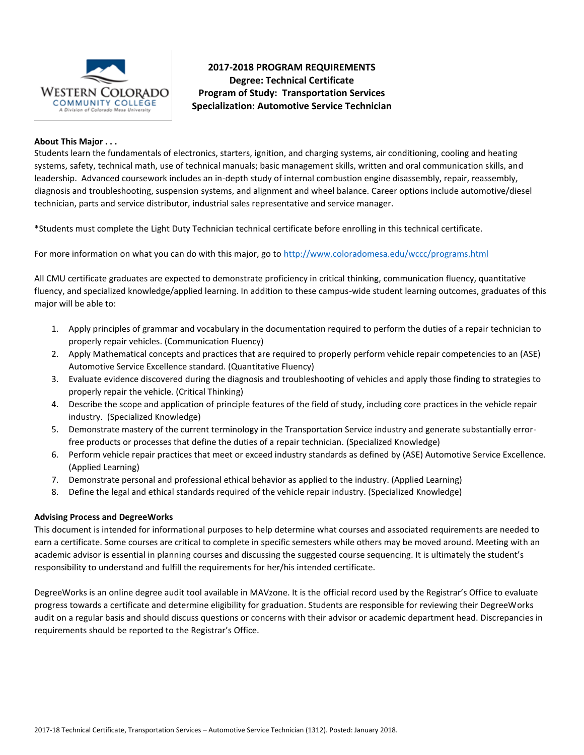

# **2017-2018 PROGRAM REQUIREMENTS Degree: Technical Certificate Program of Study: Transportation Services Specialization: Automotive Service Technician**

### **About This Major . . .**

Students learn the fundamentals of electronics, starters, ignition, and charging systems, air conditioning, cooling and heating systems, safety, technical math, use of technical manuals; basic management skills, written and oral communication skills, and leadership. Advanced coursework includes an in-depth study of internal combustion engine disassembly, repair, reassembly, diagnosis and troubleshooting, suspension systems, and alignment and wheel balance. Career options include automotive/diesel technician, parts and service distributor, industrial sales representative and service manager.

\*Students must complete the Light Duty Technician technical certificate before enrolling in this technical certificate.

For more information on what you can do with this major, go to<http://www.coloradomesa.edu/wccc/programs.html>

All CMU certificate graduates are expected to demonstrate proficiency in critical thinking, communication fluency, quantitative fluency, and specialized knowledge/applied learning. In addition to these campus-wide student learning outcomes, graduates of this major will be able to:

- 1. Apply principles of grammar and vocabulary in the documentation required to perform the duties of a repair technician to properly repair vehicles. (Communication Fluency)
- 2. Apply Mathematical concepts and practices that are required to properly perform vehicle repair competencies to an (ASE) Automotive Service Excellence standard. (Quantitative Fluency)
- 3. Evaluate evidence discovered during the diagnosis and troubleshooting of vehicles and apply those finding to strategies to properly repair the vehicle. (Critical Thinking)
- 4. Describe the scope and application of principle features of the field of study, including core practices in the vehicle repair industry. (Specialized Knowledge)
- 5. Demonstrate mastery of the current terminology in the Transportation Service industry and generate substantially errorfree products or processes that define the duties of a repair technician. (Specialized Knowledge)
- 6. Perform vehicle repair practices that meet or exceed industry standards as defined by (ASE) Automotive Service Excellence. (Applied Learning)
- 7. Demonstrate personal and professional ethical behavior as applied to the industry. (Applied Learning)
- 8. Define the legal and ethical standards required of the vehicle repair industry. (Specialized Knowledge)

### **Advising Process and DegreeWorks**

This document is intended for informational purposes to help determine what courses and associated requirements are needed to earn a certificate. Some courses are critical to complete in specific semesters while others may be moved around. Meeting with an academic advisor is essential in planning courses and discussing the suggested course sequencing. It is ultimately the student's responsibility to understand and fulfill the requirements for her/his intended certificate.

DegreeWorks is an online degree audit tool available in MAVzone. It is the official record used by the Registrar's Office to evaluate progress towards a certificate and determine eligibility for graduation. Students are responsible for reviewing their DegreeWorks audit on a regular basis and should discuss questions or concerns with their advisor or academic department head. Discrepancies in requirements should be reported to the Registrar's Office.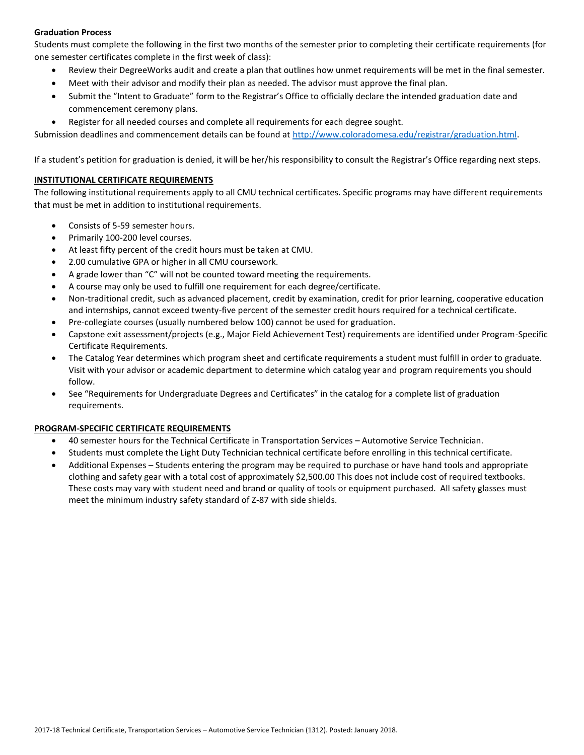# **Graduation Process**

Students must complete the following in the first two months of the semester prior to completing their certificate requirements (for one semester certificates complete in the first week of class):

- Review their DegreeWorks audit and create a plan that outlines how unmet requirements will be met in the final semester.
- Meet with their advisor and modify their plan as needed. The advisor must approve the final plan.
- Submit the "Intent to Graduate" form to the Registrar's Office to officially declare the intended graduation date and commencement ceremony plans.
- Register for all needed courses and complete all requirements for each degree sought.

Submission deadlines and commencement details can be found at [http://www.coloradomesa.edu/registrar/graduation.html.](http://www.coloradomesa.edu/registrar/graduation.html)

If a student's petition for graduation is denied, it will be her/his responsibility to consult the Registrar's Office regarding next steps.

### **INSTITUTIONAL CERTIFICATE REQUIREMENTS**

The following institutional requirements apply to all CMU technical certificates. Specific programs may have different requirements that must be met in addition to institutional requirements.

- Consists of 5-59 semester hours.
- Primarily 100-200 level courses.
- At least fifty percent of the credit hours must be taken at CMU.
- 2.00 cumulative GPA or higher in all CMU coursework.
- A grade lower than "C" will not be counted toward meeting the requirements.
- A course may only be used to fulfill one requirement for each degree/certificate.
- Non-traditional credit, such as advanced placement, credit by examination, credit for prior learning, cooperative education and internships, cannot exceed twenty-five percent of the semester credit hours required for a technical certificate.
- Pre-collegiate courses (usually numbered below 100) cannot be used for graduation.
- Capstone exit assessment/projects (e.g., Major Field Achievement Test) requirements are identified under Program-Specific Certificate Requirements.
- The Catalog Year determines which program sheet and certificate requirements a student must fulfill in order to graduate. Visit with your advisor or academic department to determine which catalog year and program requirements you should follow.
- See "Requirements for Undergraduate Degrees and Certificates" in the catalog for a complete list of graduation requirements.

# **PROGRAM-SPECIFIC CERTIFICATE REQUIREMENTS**

- 40 semester hours for the Technical Certificate in Transportation Services Automotive Service Technician.
- Students must complete the Light Duty Technician technical certificate before enrolling in this technical certificate.
- Additional Expenses Students entering the program may be required to purchase or have hand tools and appropriate clothing and safety gear with a total cost of approximately \$2,500.00 This does not include cost of required textbooks. These costs may vary with student need and brand or quality of tools or equipment purchased. All safety glasses must meet the minimum industry safety standard of Z-87 with side shields.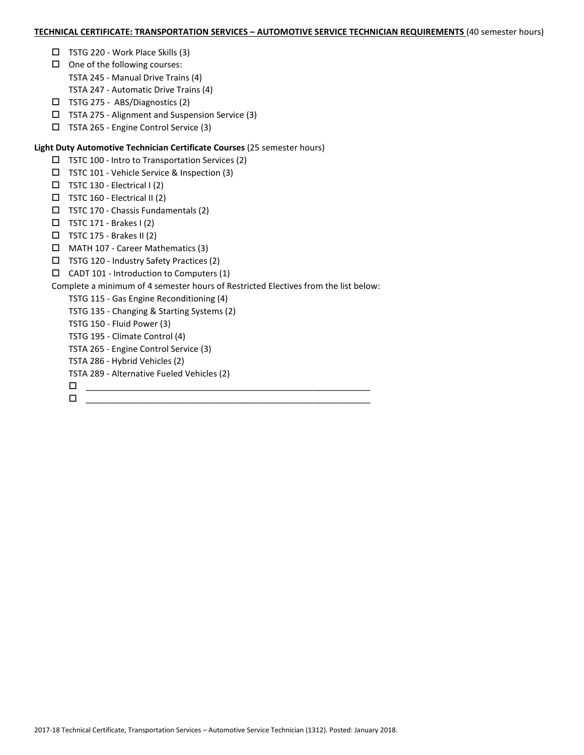#### **TECHNICAL CERTIFICATE: TRANSPORTATION SERVICES – AUTOMOTIVE SERVICE TECHNICIAN REQUIREMENTS** (40 semester hours)

- □ TSTG 220 Work Place Skills (3)
- $\Box$  One of the following courses:
	- TSTA 245 Manual Drive Trains (4)
	- TSTA 247 Automatic Drive Trains (4)
- TSTG 275 ABS/Diagnostics (2)
- TSTA 275 Alignment and Suspension Service (3)
- TSTA 265 Engine Control Service (3)

## **Light Duty Automotive Technician Certificate Courses** (25 semester hours)

- $\Box$  TSTC 100 Intro to Transportation Services (2)
- TSTC 101 Vehicle Service & Inspection (3)
- TSTC 130 Electrical I (2)
- $\square$  TSTC 160 Electrical II (2)
- $\Box$  TSTC 170 Chassis Fundamentals (2)
- $\Box$  TSTC 171 Brakes I (2)
- $\Box$  TSTC 175 Brakes II (2)
- MATH 107 Career Mathematics (3)
- TSTG 120 Industry Safety Practices (2)
- $\Box$  CADT 101 Introduction to Computers (1)

# Complete a minimum of 4 semester hours of Restricted Electives from the list below:

- TSTG 115 Gas Engine Reconditioning (4)
- TSTG 135 Changing & Starting Systems (2)
- TSTG 150 Fluid Power (3)
- TSTG 195 Climate Control (4)
- TSTA 265 Engine Control Service (3)
- TSTA 286 Hybrid Vehicles (2)
- TSTA 289 Alternative Fueled Vehicles (2)
- \_\_\_\_\_\_\_\_\_\_\_\_\_\_\_\_\_\_\_\_\_\_\_\_\_\_\_\_\_\_\_\_\_\_\_\_\_\_\_\_\_\_\_\_\_\_\_\_\_\_\_\_\_\_\_\_\_\_\_\_ \_\_\_\_\_\_\_\_\_\_\_\_\_\_\_\_\_\_\_\_\_\_\_\_\_\_\_\_\_\_\_\_\_\_\_\_\_\_\_\_\_\_\_\_\_\_\_\_\_\_\_\_\_\_\_\_\_\_\_\_